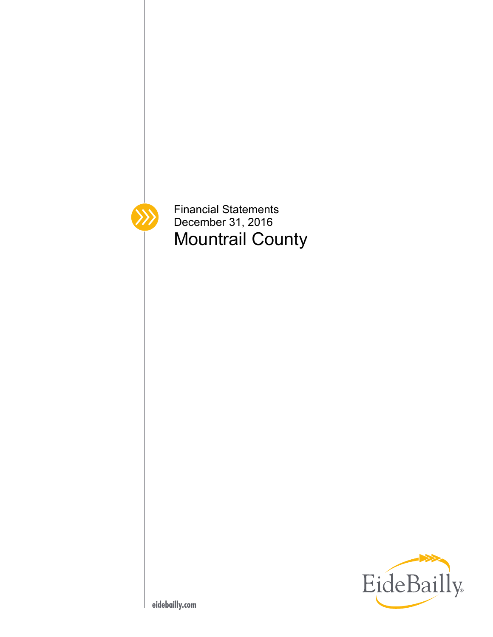

Financial Statements December 31, 2016 Mountrail County

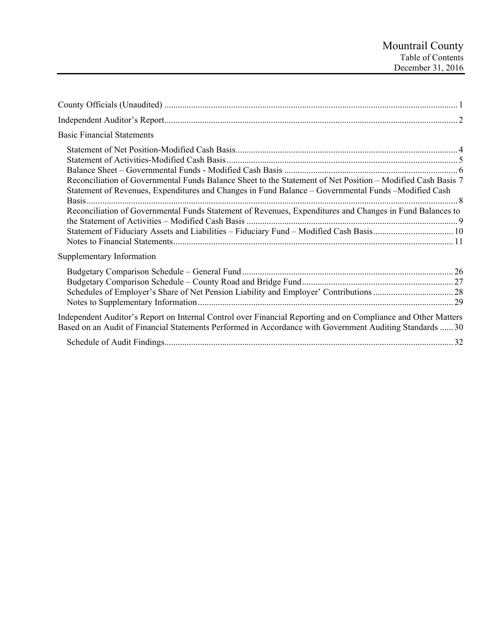| <b>Basic Financial Statements</b>                                                                                                                                                                                                                                                                                                                                                                                          |
|----------------------------------------------------------------------------------------------------------------------------------------------------------------------------------------------------------------------------------------------------------------------------------------------------------------------------------------------------------------------------------------------------------------------------|
| Reconciliation of Governmental Funds Balance Sheet to the Statement of Net Position - Modified Cash Basis 7<br>Statement of Revenues, Expenditures and Changes in Fund Balance – Governmental Funds – Modified Cash<br>Reconciliation of Governmental Funds Statement of Revenues, Expenditures and Changes in Fund Balances to<br>Statement of Fiduciary Assets and Liabilities - Fiduciary Fund - Modified Cash Basis 10 |
| Supplementary Information                                                                                                                                                                                                                                                                                                                                                                                                  |
|                                                                                                                                                                                                                                                                                                                                                                                                                            |
| Independent Auditor's Report on Internal Control over Financial Reporting and on Compliance and Other Matters<br>Based on an Audit of Financial Statements Performed in Accordance with Government Auditing Standards  30                                                                                                                                                                                                  |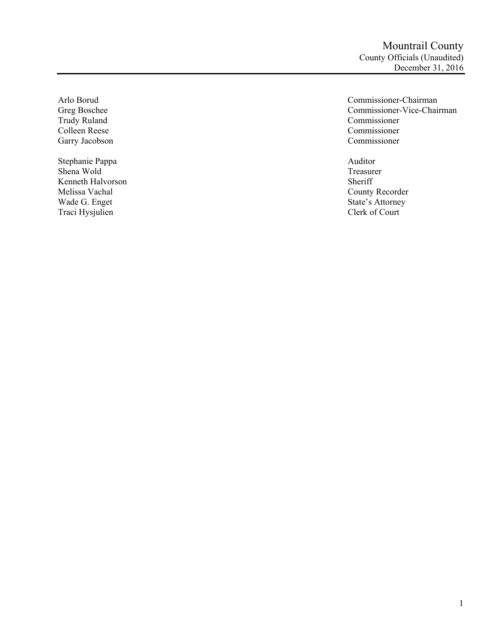Trudy Ruland Commissioner Colleen Reese Commissioner Garry Jacobson Commissioner

Stephanie Pappa Auditor Shena Wold Treasurer Kenneth Halvorson Sheriff Melissa Vachal County Recorder<br>
Wade G. Enget State's Attorney Traci Hysjulien

Arlo Borud Commissioner-Chairman<br>
Greg Boschee Commissioner-Vice-Chair Commissioner-Vice-Chairman

State's Attorney<br>Clerk of Court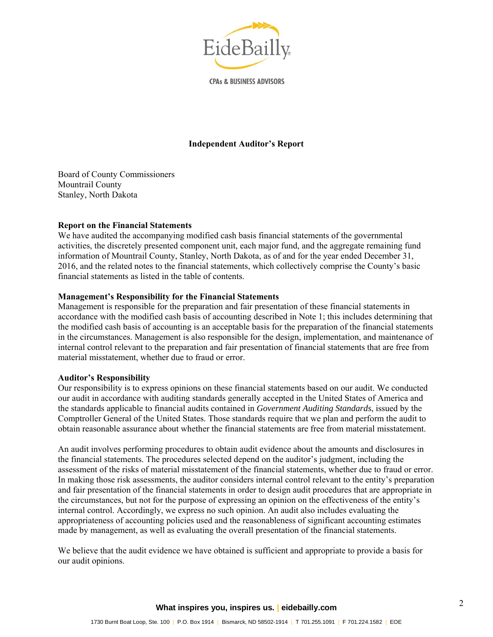

**CPAs & BUSINESS ADVISORS** 

# **Independent Auditor's Report**

Board of County Commissioners Mountrail County Stanley, North Dakota

#### **Report on the Financial Statements**

We have audited the accompanying modified cash basis financial statements of the governmental activities, the discretely presented component unit, each major fund, and the aggregate remaining fund information of Mountrail County, Stanley, North Dakota, as of and for the year ended December 31, 2016, and the related notes to the financial statements, which collectively comprise the County's basic financial statements as listed in the table of contents.

# **Management's Responsibility for the Financial Statements**

Management is responsible for the preparation and fair presentation of these financial statements in accordance with the modified cash basis of accounting described in Note 1; this includes determining that the modified cash basis of accounting is an acceptable basis for the preparation of the financial statements in the circumstances. Management is also responsible for the design, implementation, and maintenance of internal control relevant to the preparation and fair presentation of financial statements that are free from material misstatement, whether due to fraud or error.

#### **Auditor's Responsibility**

Our responsibility is to express opinions on these financial statements based on our audit. We conducted our audit in accordance with auditing standards generally accepted in the United States of America and the standards applicable to financial audits contained in *Government Auditing Standards*, issued by the Comptroller General of the United States. Those standards require that we plan and perform the audit to obtain reasonable assurance about whether the financial statements are free from material misstatement.

An audit involves performing procedures to obtain audit evidence about the amounts and disclosures in the financial statements. The procedures selected depend on the auditor's judgment, including the assessment of the risks of material misstatement of the financial statements, whether due to fraud or error. In making those risk assessments, the auditor considers internal control relevant to the entity's preparation and fair presentation of the financial statements in order to design audit procedures that are appropriate in the circumstances, but not for the purpose of expressing an opinion on the effectiveness of the entity's internal control. Accordingly, we express no such opinion. An audit also includes evaluating the appropriateness of accounting policies used and the reasonableness of significant accounting estimates made by management, as well as evaluating the overall presentation of the financial statements.

We believe that the audit evidence we have obtained is sufficient and appropriate to provide a basis for our audit opinions.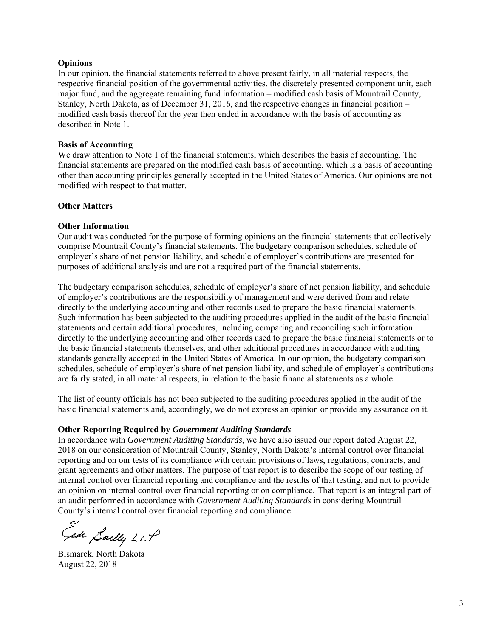#### **Opinions**

In our opinion, the financial statements referred to above present fairly, in all material respects, the respective financial position of the governmental activities, the discretely presented component unit, each major fund, and the aggregate remaining fund information – modified cash basis of Mountrail County, Stanley, North Dakota, as of December 31, 2016, and the respective changes in financial position – modified cash basis thereof for the year then ended in accordance with the basis of accounting as described in Note 1.

#### **Basis of Accounting**

We draw attention to Note 1 of the financial statements, which describes the basis of accounting. The financial statements are prepared on the modified cash basis of accounting, which is a basis of accounting other than accounting principles generally accepted in the United States of America. Our opinions are not modified with respect to that matter.

# **Other Matters**

#### **Other Information**

Our audit was conducted for the purpose of forming opinions on the financial statements that collectively comprise Mountrail County's financial statements. The budgetary comparison schedules, schedule of employer's share of net pension liability, and schedule of employer's contributions are presented for purposes of additional analysis and are not a required part of the financial statements.

The budgetary comparison schedules, schedule of employer's share of net pension liability, and schedule of employer's contributions are the responsibility of management and were derived from and relate directly to the underlying accounting and other records used to prepare the basic financial statements. Such information has been subjected to the auditing procedures applied in the audit of the basic financial statements and certain additional procedures, including comparing and reconciling such information directly to the underlying accounting and other records used to prepare the basic financial statements or to the basic financial statements themselves, and other additional procedures in accordance with auditing standards generally accepted in the United States of America. In our opinion, the budgetary comparison schedules, schedule of employer's share of net pension liability, and schedule of employer's contributions are fairly stated, in all material respects, in relation to the basic financial statements as a whole.

The list of county officials has not been subjected to the auditing procedures applied in the audit of the basic financial statements and, accordingly, we do not express an opinion or provide any assurance on it.

#### **Other Reporting Required by** *Government Auditing Standards*

In accordance with *Government Auditing Standards*, we have also issued our report dated August 22, 2018 on our consideration of Mountrail County, Stanley, North Dakota's internal control over financial reporting and on our tests of its compliance with certain provisions of laws, regulations, contracts, and grant agreements and other matters. The purpose of that report is to describe the scope of our testing of internal control over financial reporting and compliance and the results of that testing, and not to provide an opinion on internal control over financial reporting or on compliance. That report is an integral part of an audit performed in accordance with *Government Auditing Standards* in considering Mountrail County's internal control over financial reporting and compliance.

Gade Saelly LLP

Bismarck, North Dakota August 22, 2018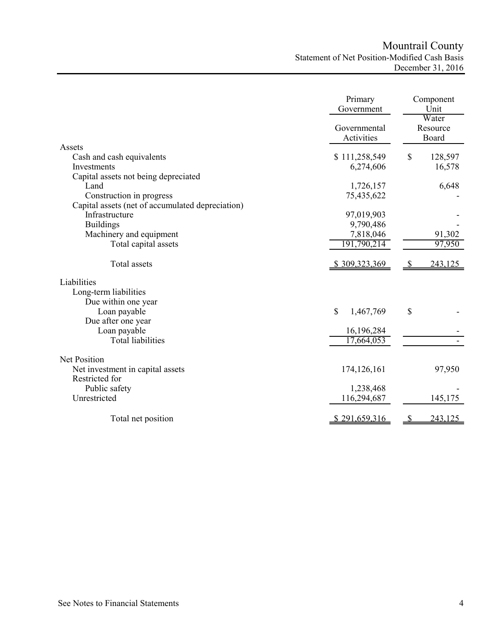# Mountrail County Statement of Net Position-Modified Cash Basis December 31, 2016

|                                                  | Primary<br>Government      |     | Component<br>Unit          |
|--------------------------------------------------|----------------------------|-----|----------------------------|
|                                                  | Governmental<br>Activities |     | Water<br>Resource<br>Board |
| Assets                                           |                            |     |                            |
| Cash and cash equivalents                        | \$111,258,549              | \$  | 128,597                    |
| Investments                                      | 6,274,606                  |     | 16,578                     |
| Capital assets not being depreciated             |                            |     |                            |
| Land                                             | 1,726,157                  |     | 6,648                      |
| Construction in progress                         | 75,435,622                 |     |                            |
| Capital assets (net of accumulated depreciation) |                            |     |                            |
| Infrastructure                                   | 97,019,903                 |     |                            |
| <b>Buildings</b>                                 | 9,790,486                  |     |                            |
| Machinery and equipment                          | 7,818,046                  |     | 91,302                     |
| Total capital assets                             | 191,790,214                |     | 97,950                     |
| Total assets                                     | \$309,323,369              | - 5 | 243,125                    |
| Liabilities                                      |                            |     |                            |
| Long-term liabilities                            |                            |     |                            |
| Due within one year                              |                            |     |                            |
| Loan payable                                     | \$<br>1,467,769            | \$  |                            |
| Due after one year                               |                            |     |                            |
| Loan payable                                     | 16,196,284                 |     |                            |
| <b>Total liabilities</b>                         | 17,664,053                 |     |                            |
| <b>Net Position</b>                              |                            |     |                            |
| Net investment in capital assets                 | 174, 126, 161              |     | 97,950                     |
| Restricted for                                   |                            |     |                            |
| Public safety                                    | 1,238,468                  |     |                            |
| Unrestricted                                     | 116,294,687                |     | 145,175                    |
|                                                  |                            |     |                            |
| Total net position                               | 291,659,316                |     | 243,125                    |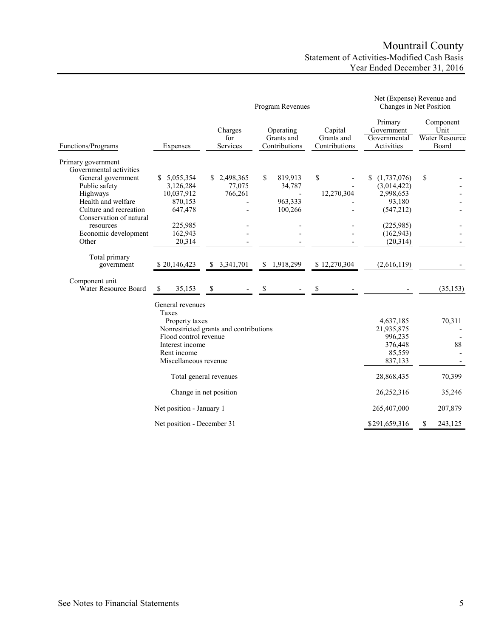# Mountrail County Statement of Activities-Modified Cash Basis Year Ended December 31, 2016

|                                                                                                                                                                                                                           |                                                                                                                                 |                                        | Program Revenues                               |                                        |                                                                                                              | Net (Expense) Revenue and<br>Changes in Net Position |
|---------------------------------------------------------------------------------------------------------------------------------------------------------------------------------------------------------------------------|---------------------------------------------------------------------------------------------------------------------------------|----------------------------------------|------------------------------------------------|----------------------------------------|--------------------------------------------------------------------------------------------------------------|------------------------------------------------------|
| Functions/Programs                                                                                                                                                                                                        | Expenses                                                                                                                        | Charges<br>for<br>Services             | Operating<br>Grants and<br>Contributions       | Capital<br>Grants and<br>Contributions | Primary<br>Government<br>Governmental<br>Activities                                                          | Component<br>Unit<br><b>Water Resource</b><br>Board  |
| Primary government<br>Governmental activities<br>General government<br>Public safety<br>Highways<br>Health and welfare<br>Culture and recreation<br>Conservation of natural<br>resources<br>Economic development<br>Other | \$5,055,354<br>3,126,284<br>10,037,912<br>870,153<br>647,478<br>225,985<br>162,943<br>20,314                                    | 2,498,365<br>S.<br>77,075<br>766,261   | \$.<br>819,913<br>34,787<br>963,333<br>100,266 | \$<br>12,270,304                       | \$.<br>(1,737,076)<br>(3,014,422)<br>2,998,653<br>93,180<br>(547,212)<br>(225,985)<br>(162, 943)<br>(20,314) | \$                                                   |
| Total primary<br>government                                                                                                                                                                                               | \$20,146,423                                                                                                                    | \$ 3,341,701                           | \$1,918,299                                    | \$12,270,304                           | (2,616,119)                                                                                                  |                                                      |
| Component unit<br>Water Resource Board                                                                                                                                                                                    | 35,153<br><sup>8</sup>                                                                                                          |                                        |                                                |                                        |                                                                                                              | (35, 153)                                            |
|                                                                                                                                                                                                                           | General revenues<br>Taxes<br>Property taxes<br>Flood control revenue<br>Interest income<br>Rent income<br>Miscellaneous revenue | Nonrestricted grants and contributions |                                                |                                        | 4,637,185<br>21,935,875<br>996,235<br>376,448<br>85,559<br>837,133                                           | 70,311<br>88                                         |
|                                                                                                                                                                                                                           |                                                                                                                                 | Total general revenues                 |                                                |                                        | 28,868,435                                                                                                   | 70,399                                               |
|                                                                                                                                                                                                                           |                                                                                                                                 | Change in net position                 |                                                |                                        | 26,252,316                                                                                                   | 35,246                                               |
|                                                                                                                                                                                                                           | Net position - January 1                                                                                                        |                                        |                                                |                                        | 265,407,000                                                                                                  | 207,879                                              |
|                                                                                                                                                                                                                           | Net position - December 31                                                                                                      |                                        |                                                |                                        | \$291,659,316                                                                                                | S<br>243,125                                         |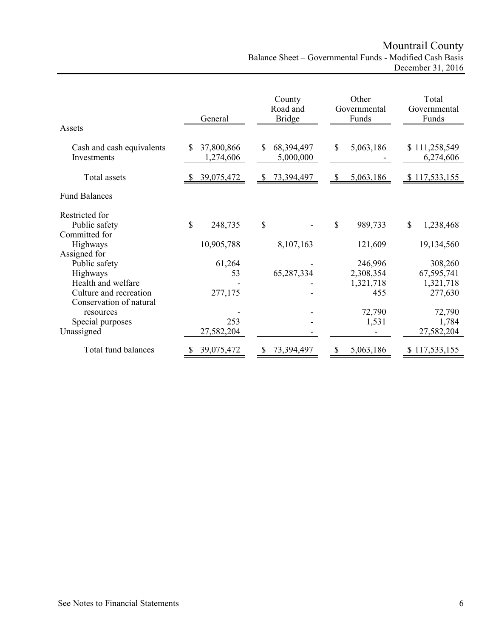Mountrail County Balance Sheet – Governmental Funds - Modified Cash Basis December 31, 2016

|                                          | General                       |              | County<br>Road and<br><b>Bridge</b> | Other<br>Governmental<br>Funds |               | Total<br>Governmental<br>Funds |
|------------------------------------------|-------------------------------|--------------|-------------------------------------|--------------------------------|---------------|--------------------------------|
| Assets                                   |                               |              |                                     |                                |               |                                |
| Cash and cash equivalents<br>Investments | \$<br>37,800,866<br>1,274,606 | S            | 68,394,497<br>5,000,000             | \$<br>5,063,186                |               | \$111,258,549<br>6,274,606     |
| Total assets                             | 39,075,472                    |              | 73,394,497                          | 5,063,186                      |               | \$117,533,155                  |
| <b>Fund Balances</b>                     |                               |              |                                     |                                |               |                                |
| Restricted for                           |                               |              |                                     |                                |               |                                |
| Public safety                            | \$<br>248,735                 | $\mathbb{S}$ |                                     | \$<br>989,733                  | $\mathcal{S}$ | 1,238,468                      |
| Committed for                            |                               |              |                                     |                                |               |                                |
| Highways                                 | 10,905,788                    |              | 8,107,163                           | 121,609                        |               | 19,134,560                     |
| Assigned for                             |                               |              |                                     |                                |               |                                |
| Public safety                            | 61,264                        |              |                                     | 246,996                        |               | 308,260                        |
| Highways                                 | 53                            |              | 65,287,334                          | 2,308,354                      |               | 67,595,741                     |
| Health and welfare                       |                               |              |                                     | 1,321,718                      |               | 1,321,718                      |
| Culture and recreation                   | 277,175                       |              |                                     | 455                            |               | 277,630                        |
| Conservation of natural                  |                               |              |                                     |                                |               |                                |
| resources                                |                               |              |                                     | 72,790                         |               | 72,790                         |
| Special purposes                         | 253                           |              |                                     | 1,531                          |               | 1,784                          |
| Unassigned                               | 27,582,204                    |              |                                     |                                |               | 27,582,204                     |
| Total fund balances                      | 39,075,472                    |              | 73,394,497                          | 5,063,186                      |               | \$117,533,155                  |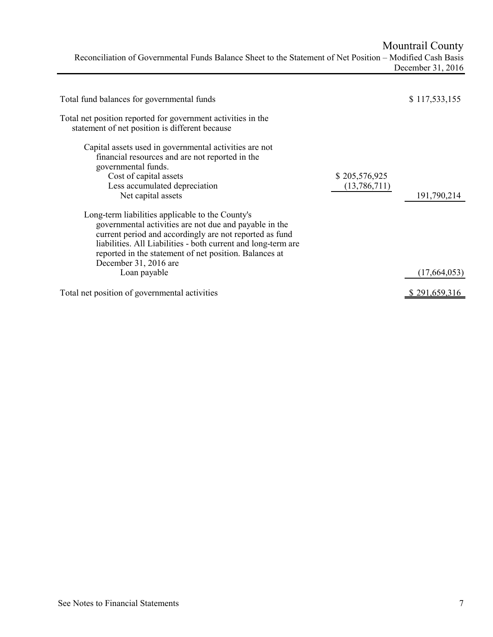Mountrail County

| Reconciliation of Governmental Funds Balance Sheet to the Statement of Net Position – Modified Cash Basis |                   |
|-----------------------------------------------------------------------------------------------------------|-------------------|
|                                                                                                           | December 31, 2016 |

| Total fund balances for governmental funds                                                                                                                                                                                                                                                                                |                               | \$117,533,155 |
|---------------------------------------------------------------------------------------------------------------------------------------------------------------------------------------------------------------------------------------------------------------------------------------------------------------------------|-------------------------------|---------------|
| Total net position reported for government activities in the<br>statement of net position is different because                                                                                                                                                                                                            |                               |               |
| Capital assets used in governmental activities are not<br>financial resources and are not reported in the<br>governmental funds.<br>Cost of capital assets<br>Less accumulated depreciation<br>Net capital assets                                                                                                         | \$205,576,925<br>(13,786,711) | 191,790,214   |
| Long-term liabilities applicable to the County's<br>governmental activities are not due and payable in the<br>current period and accordingly are not reported as fund<br>liabilities. All Liabilities - both current and long-term are<br>reported in the statement of net position. Balances at<br>December 31, 2016 are |                               |               |
| Loan payable                                                                                                                                                                                                                                                                                                              |                               | (17,664,053)  |
| Total net position of governmental activities                                                                                                                                                                                                                                                                             |                               | 291.659.31    |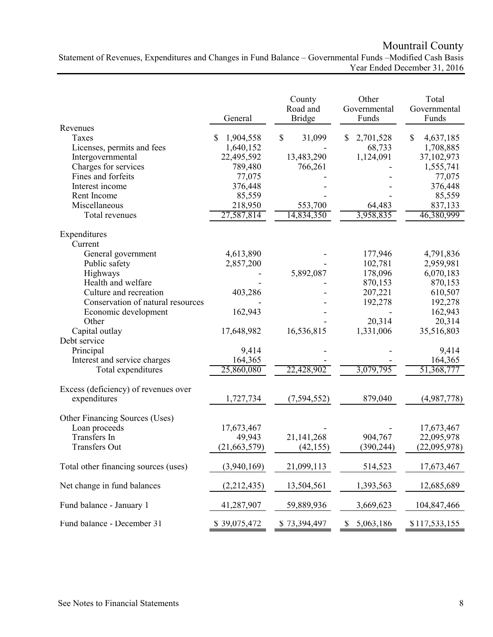# Mountrail County

Statement of Revenues, Expenditures and Changes in Fund Balance – Governmental Funds –Modified Cash Basis Year Ended December 31, 2016

|                                      | General        | County<br>Road and<br><b>Bridge</b> | Other<br>Governmental<br>Funds | Total<br>Governmental<br>Funds |
|--------------------------------------|----------------|-------------------------------------|--------------------------------|--------------------------------|
| Revenues                             |                |                                     |                                |                                |
| Taxes                                | 1,904,558<br>S | \$<br>31,099                        | 2,701,528<br>\$                | 4,637,185<br>\$                |
| Licenses, permits and fees           | 1,640,152      |                                     | 68,733                         | 1,708,885                      |
| Intergovernmental                    | 22,495,592     | 13,483,290                          | 1,124,091                      | 37,102,973                     |
| Charges for services                 | 789,480        | 766,261                             |                                | 1,555,741                      |
| Fines and forfeits                   | 77,075         |                                     |                                | 77,075                         |
| Interest income                      | 376,448        |                                     |                                | 376,448                        |
| Rent Income                          | 85,559         |                                     |                                | 85,559                         |
| Miscellaneous                        | 218,950        | 553,700                             | 64,483                         | 837,133                        |
| Total revenues                       | 27,587,814     | 14,834,350                          | 3,958,835                      | 46,380,999                     |
| Expenditures                         |                |                                     |                                |                                |
| Current                              |                |                                     |                                |                                |
| General government                   | 4,613,890      |                                     | 177,946                        | 4,791,836                      |
| Public safety                        | 2,857,200      |                                     | 102,781                        | 2,959,981                      |
| Highways                             |                | 5,892,087                           | 178,096                        | 6,070,183                      |
| Health and welfare                   |                |                                     | 870,153                        | 870,153                        |
| Culture and recreation               | 403,286        |                                     | 207,221                        | 610,507                        |
| Conservation of natural resources    |                |                                     | 192,278                        | 192,278                        |
| Economic development                 | 162,943        |                                     |                                | 162,943                        |
| Other                                |                |                                     | 20,314                         | 20,314                         |
| Capital outlay                       | 17,648,982     | 16,536,815                          | 1,331,006                      | 35,516,803                     |
| Debt service                         |                |                                     |                                |                                |
| Principal                            | 9,414          |                                     |                                | 9,414                          |
| Interest and service charges         | 164,365        |                                     |                                | 164,365                        |
| Total expenditures                   | 25,860,080     | 22,428,902                          | 3,079,795                      | 51,368,777                     |
| Excess (deficiency) of revenues over |                |                                     |                                |                                |
| expenditures                         | 1,727,734      | (7, 594, 552)                       | 879,040                        | (4,987,778)                    |
| Other Financing Sources (Uses)       |                |                                     |                                |                                |
| Loan proceeds                        | 17,673,467     |                                     |                                | 17,673,467                     |
| Transfers In                         | 49,943         | 21, 141, 268                        | 904,767                        | 22,095,978                     |
| <b>Transfers Out</b>                 | (21, 663, 579) | (42, 155)                           | (390, 244)                     | (22,095,978)                   |
| Total other financing sources (uses) | (3,940,169)    | 21,099,113                          | 514,523                        | 17,673,467                     |
| Net change in fund balances          | (2,212,435)    | 13,504,561                          | 1,393,563                      | 12,685,689                     |
| Fund balance - January 1             | 41,287,907     | 59,889,936                          | 3,669,623                      | 104,847,466                    |
| Fund balance - December 31           | \$39,075,472   | \$73,394,497                        | 5,063,186<br>\$                | \$117,533,155                  |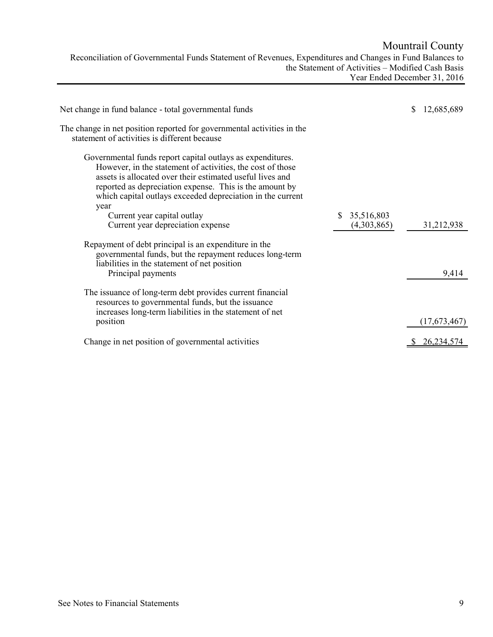Mountrail County

| Reconciliation of Governmental Funds Statement of Revenues, Expenditures and Changes in Fund Balances to |
|----------------------------------------------------------------------------------------------------------|
| the Statement of Activities – Modified Cash Basis                                                        |
| Year Ended December 31, 2016                                                                             |

| Net change in fund balance - total governmental funds                                                                                                                                                                                                                                                                  |                           | <sup>S</sup> | 12,685,689 |
|------------------------------------------------------------------------------------------------------------------------------------------------------------------------------------------------------------------------------------------------------------------------------------------------------------------------|---------------------------|--------------|------------|
| The change in net position reported for governmental activities in the<br>statement of activities is different because                                                                                                                                                                                                 |                           |              |            |
| Governmental funds report capital outlays as expenditures.<br>However, in the statement of activities, the cost of those<br>assets is allocated over their estimated useful lives and<br>reported as depreciation expense. This is the amount by<br>which capital outlays exceeded depreciation in the current<br>year |                           |              |            |
| Current year capital outlay<br>Current year depreciation expense                                                                                                                                                                                                                                                       | 35,516,803<br>(4,303,865) |              | 31,212,938 |
| Repayment of debt principal is an expenditure in the<br>governmental funds, but the repayment reduces long-term                                                                                                                                                                                                        |                           |              |            |
| liabilities in the statement of net position<br>Principal payments                                                                                                                                                                                                                                                     |                           |              | 9.414      |
|                                                                                                                                                                                                                                                                                                                        |                           |              |            |

| The issuance of long-term debt provides current financial<br>resources to governmental funds, but the issuance |              |
|----------------------------------------------------------------------------------------------------------------|--------------|
| increases long-term liabilities in the statement of net<br>position                                            | (17,673,467) |
| Change in net position of governmental activities                                                              | 26,234.574   |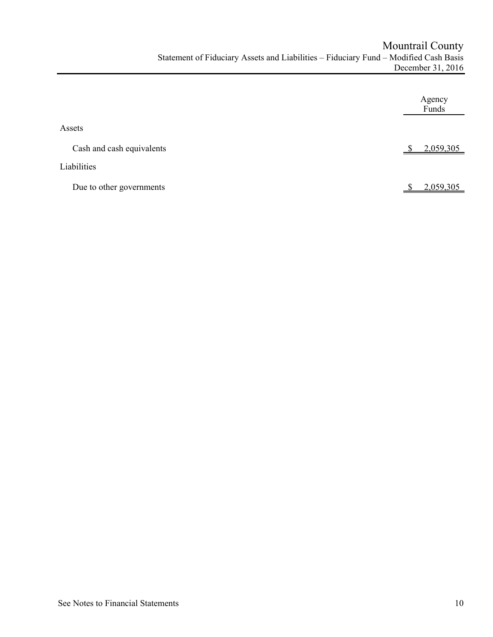|                           | Agency<br>Funds |
|---------------------------|-----------------|
| Assets                    |                 |
| Cash and cash equivalents | 2,059,305       |
| Liabilities               |                 |
| Due to other governments  | 2,059,305       |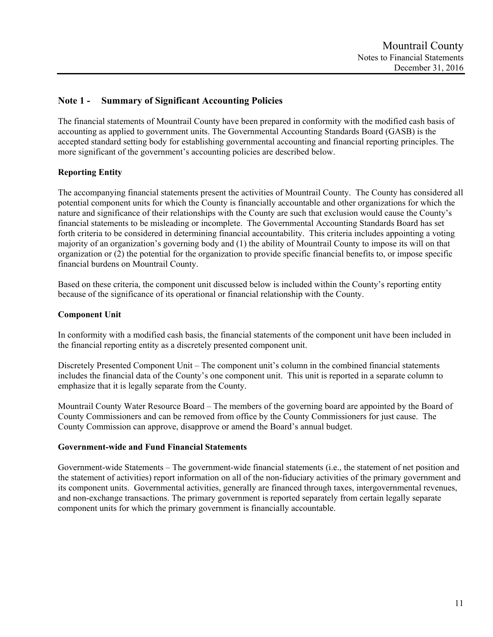# **Note 1 - Summary of Significant Accounting Policies**

The financial statements of Mountrail County have been prepared in conformity with the modified cash basis of accounting as applied to government units. The Governmental Accounting Standards Board (GASB) is the accepted standard setting body for establishing governmental accounting and financial reporting principles. The more significant of the government's accounting policies are described below.

# **Reporting Entity**

The accompanying financial statements present the activities of Mountrail County. The County has considered all potential component units for which the County is financially accountable and other organizations for which the nature and significance of their relationships with the County are such that exclusion would cause the County's financial statements to be misleading or incomplete. The Governmental Accounting Standards Board has set forth criteria to be considered in determining financial accountability. This criteria includes appointing a voting majority of an organization's governing body and (1) the ability of Mountrail County to impose its will on that organization or (2) the potential for the organization to provide specific financial benefits to, or impose specific financial burdens on Mountrail County.

Based on these criteria, the component unit discussed below is included within the County's reporting entity because of the significance of its operational or financial relationship with the County.

# **Component Unit**

In conformity with a modified cash basis, the financial statements of the component unit have been included in the financial reporting entity as a discretely presented component unit.

Discretely Presented Component Unit – The component unit's column in the combined financial statements includes the financial data of the County's one component unit. This unit is reported in a separate column to emphasize that it is legally separate from the County.

Mountrail County Water Resource Board – The members of the governing board are appointed by the Board of County Commissioners and can be removed from office by the County Commissioners for just cause. The County Commission can approve, disapprove or amend the Board's annual budget.

# **Government-wide and Fund Financial Statements**

Government-wide Statements – The government-wide financial statements (i.e., the statement of net position and the statement of activities) report information on all of the non-fiduciary activities of the primary government and its component units. Governmental activities, generally are financed through taxes, intergovernmental revenues, and non-exchange transactions. The primary government is reported separately from certain legally separate component units for which the primary government is financially accountable.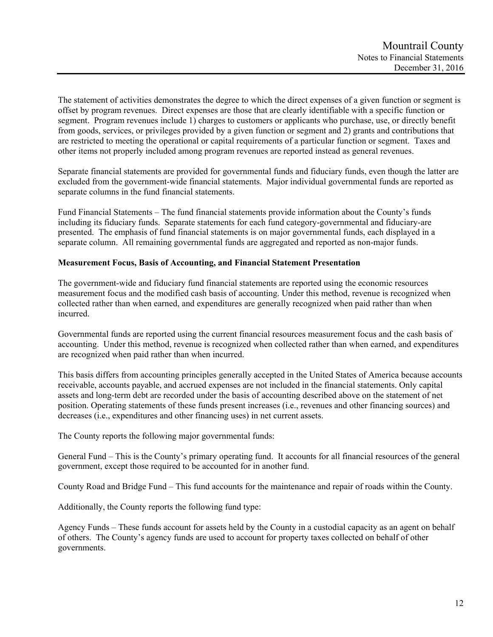The statement of activities demonstrates the degree to which the direct expenses of a given function or segment is offset by program revenues. Direct expenses are those that are clearly identifiable with a specific function or segment. Program revenues include 1) charges to customers or applicants who purchase, use, or directly benefit from goods, services, or privileges provided by a given function or segment and 2) grants and contributions that are restricted to meeting the operational or capital requirements of a particular function or segment. Taxes and other items not properly included among program revenues are reported instead as general revenues.

Separate financial statements are provided for governmental funds and fiduciary funds, even though the latter are excluded from the government-wide financial statements. Major individual governmental funds are reported as separate columns in the fund financial statements.

Fund Financial Statements – The fund financial statements provide information about the County's funds including its fiduciary funds. Separate statements for each fund category-governmental and fiduciary-are presented. The emphasis of fund financial statements is on major governmental funds, each displayed in a separate column. All remaining governmental funds are aggregated and reported as non-major funds.

# **Measurement Focus, Basis of Accounting, and Financial Statement Presentation**

The government-wide and fiduciary fund financial statements are reported using the economic resources measurement focus and the modified cash basis of accounting. Under this method, revenue is recognized when collected rather than when earned, and expenditures are generally recognized when paid rather than when incurred.

Governmental funds are reported using the current financial resources measurement focus and the cash basis of accounting. Under this method, revenue is recognized when collected rather than when earned, and expenditures are recognized when paid rather than when incurred.

This basis differs from accounting principles generally accepted in the United States of America because accounts receivable, accounts payable, and accrued expenses are not included in the financial statements. Only capital assets and long-term debt are recorded under the basis of accounting described above on the statement of net position. Operating statements of these funds present increases (i.e., revenues and other financing sources) and decreases (i.e., expenditures and other financing uses) in net current assets.

The County reports the following major governmental funds:

General Fund – This is the County's primary operating fund. It accounts for all financial resources of the general government, except those required to be accounted for in another fund.

County Road and Bridge Fund – This fund accounts for the maintenance and repair of roads within the County.

Additionally, the County reports the following fund type:

Agency Funds – These funds account for assets held by the County in a custodial capacity as an agent on behalf of others. The County's agency funds are used to account for property taxes collected on behalf of other governments.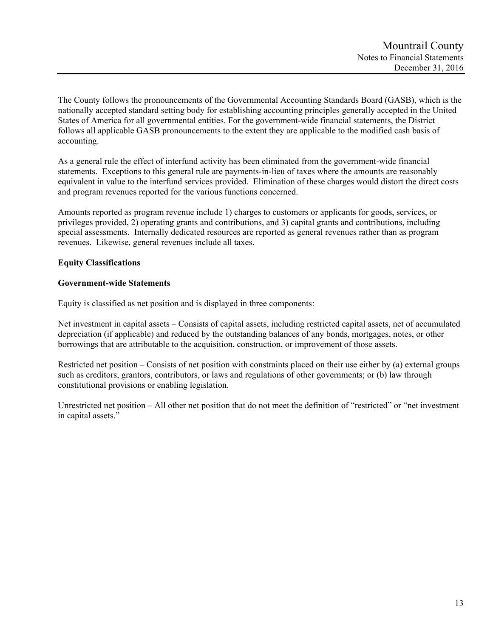The County follows the pronouncements of the Governmental Accounting Standards Board (GASB), which is the nationally accepted standard setting body for establishing accounting principles generally accepted in the United States of America for all governmental entities. For the government-wide financial statements, the District follows all applicable GASB pronouncements to the extent they are applicable to the modified cash basis of accounting.

As a general rule the effect of interfund activity has been eliminated from the government-wide financial statements. Exceptions to this general rule are payments-in-lieu of taxes where the amounts are reasonably equivalent in value to the interfund services provided. Elimination of these charges would distort the direct costs and program revenues reported for the various functions concerned.

Amounts reported as program revenue include 1) charges to customers or applicants for goods, services, or privileges provided, 2) operating grants and contributions, and 3) capital grants and contributions, including special assessments. Internally dedicated resources are reported as general revenues rather than as program revenues. Likewise, general revenues include all taxes.

# **Equity Classifications**

# **Government-wide Statements**

Equity is classified as net position and is displayed in three components:

Net investment in capital assets – Consists of capital assets, including restricted capital assets, net of accumulated depreciation (if applicable) and reduced by the outstanding balances of any bonds, mortgages, notes, or other borrowings that are attributable to the acquisition, construction, or improvement of those assets.

Restricted net position – Consists of net position with constraints placed on their use either by (a) external groups such as creditors, grantors, contributors, or laws and regulations of other governments; or (b) law through constitutional provisions or enabling legislation.

Unrestricted net position – All other net position that do not meet the definition of "restricted" or "net investment in capital assets."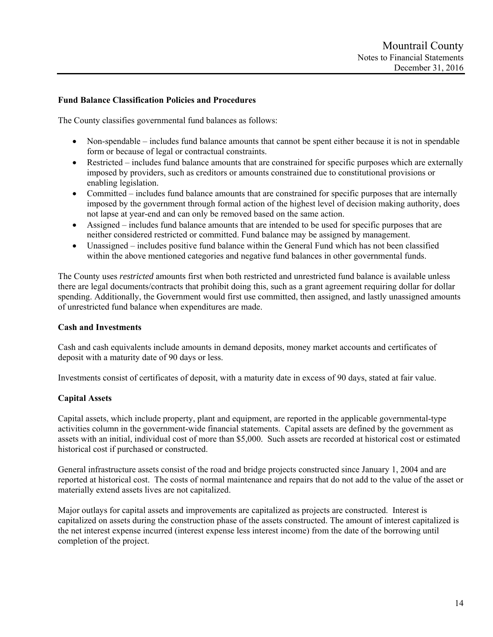#### **Fund Balance Classification Policies and Procedures**

The County classifies governmental fund balances as follows:

- Non-spendable includes fund balance amounts that cannot be spent either because it is not in spendable form or because of legal or contractual constraints.
- Restricted includes fund balance amounts that are constrained for specific purposes which are externally imposed by providers, such as creditors or amounts constrained due to constitutional provisions or enabling legislation.
- Committed includes fund balance amounts that are constrained for specific purposes that are internally imposed by the government through formal action of the highest level of decision making authority, does not lapse at year-end and can only be removed based on the same action.
- Assigned includes fund balance amounts that are intended to be used for specific purposes that are neither considered restricted or committed. Fund balance may be assigned by management.
- Unassigned includes positive fund balance within the General Fund which has not been classified within the above mentioned categories and negative fund balances in other governmental funds.

The County uses *restricted* amounts first when both restricted and unrestricted fund balance is available unless there are legal documents/contracts that prohibit doing this, such as a grant agreement requiring dollar for dollar spending. Additionally, the Government would first use committed, then assigned, and lastly unassigned amounts of unrestricted fund balance when expenditures are made.

# **Cash and Investments**

Cash and cash equivalents include amounts in demand deposits, money market accounts and certificates of deposit with a maturity date of 90 days or less.

Investments consist of certificates of deposit, with a maturity date in excess of 90 days, stated at fair value.

# **Capital Assets**

Capital assets, which include property, plant and equipment, are reported in the applicable governmental-type activities column in the government-wide financial statements. Capital assets are defined by the government as assets with an initial, individual cost of more than \$5,000. Such assets are recorded at historical cost or estimated historical cost if purchased or constructed.

General infrastructure assets consist of the road and bridge projects constructed since January 1, 2004 and are reported at historical cost. The costs of normal maintenance and repairs that do not add to the value of the asset or materially extend assets lives are not capitalized.

Major outlays for capital assets and improvements are capitalized as projects are constructed. Interest is capitalized on assets during the construction phase of the assets constructed. The amount of interest capitalized is the net interest expense incurred (interest expense less interest income) from the date of the borrowing until completion of the project.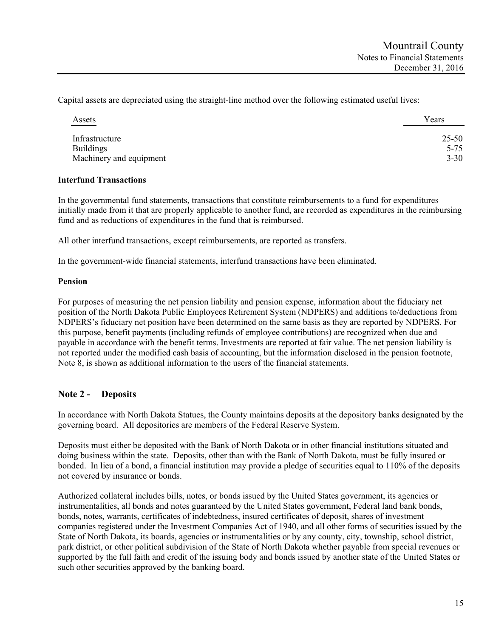Capital assets are depreciated using the straight-line method over the following estimated useful lives:

| <b>Assets</b>                      | Years                 |
|------------------------------------|-----------------------|
| Infrastructure<br><b>Buildings</b> | $25 - 50$<br>$5 - 75$ |
| Machinery and equipment            | $3 - 30$              |

# **Interfund Transactions**

In the governmental fund statements, transactions that constitute reimbursements to a fund for expenditures initially made from it that are properly applicable to another fund, are recorded as expenditures in the reimbursing fund and as reductions of expenditures in the fund that is reimbursed.

All other interfund transactions, except reimbursements, are reported as transfers.

In the government-wide financial statements, interfund transactions have been eliminated.

# **Pension**

For purposes of measuring the net pension liability and pension expense, information about the fiduciary net position of the North Dakota Public Employees Retirement System (NDPERS) and additions to/deductions from NDPERS's fiduciary net position have been determined on the same basis as they are reported by NDPERS. For this purpose, benefit payments (including refunds of employee contributions) are recognized when due and payable in accordance with the benefit terms. Investments are reported at fair value. The net pension liability is not reported under the modified cash basis of accounting, but the information disclosed in the pension footnote, Note 8, is shown as additional information to the users of the financial statements.

# **Note 2 - Deposits**

In accordance with North Dakota Statues, the County maintains deposits at the depository banks designated by the governing board. All depositories are members of the Federal Reserve System.

Deposits must either be deposited with the Bank of North Dakota or in other financial institutions situated and doing business within the state. Deposits, other than with the Bank of North Dakota, must be fully insured or bonded. In lieu of a bond, a financial institution may provide a pledge of securities equal to 110% of the deposits not covered by insurance or bonds.

Authorized collateral includes bills, notes, or bonds issued by the United States government, its agencies or instrumentalities, all bonds and notes guaranteed by the United States government, Federal land bank bonds, bonds, notes, warrants, certificates of indebtedness, insured certificates of deposit, shares of investment companies registered under the Investment Companies Act of 1940, and all other forms of securities issued by the State of North Dakota, its boards, agencies or instrumentalities or by any county, city, township, school district, park district, or other political subdivision of the State of North Dakota whether payable from special revenues or supported by the full faith and credit of the issuing body and bonds issued by another state of the United States or such other securities approved by the banking board.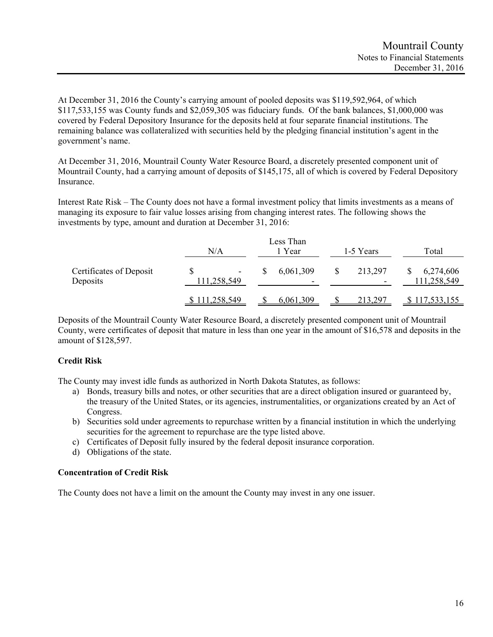At December 31, 2016 the County's carrying amount of pooled deposits was \$119,592,964, of which \$117,533,155 was County funds and \$2,059,305 was fiduciary funds. Of the bank balances, \$1,000,000 was covered by Federal Depository Insurance for the deposits held at four separate financial institutions. The remaining balance was collateralized with securities held by the pledging financial institution's agent in the government's name.

At December 31, 2016, Mountrail County Water Resource Board, a discretely presented component unit of Mountrail County, had a carrying amount of deposits of \$145,175, all of which is covered by Federal Depository Insurance.

Interest Rate Risk – The County does not have a formal investment policy that limits investments as a means of managing its exposure to fair value losses arising from changing interest rates. The following shows the investments by type, amount and duration at December 31, 2016:

|                                     | N/A           | Less Than<br>Year | 1-5 Years                           | Total                    |
|-------------------------------------|---------------|-------------------|-------------------------------------|--------------------------|
| Certificates of Deposit<br>Deposits | 111,258,549   | 6,061,309<br>-    | 213,297<br>$\overline{\phantom{0}}$ | 6,274,606<br>111,258,549 |
|                                     | \$111,258,549 | 6,061,309         | 213,297                             | <u>117,533,155</u>       |

Deposits of the Mountrail County Water Resource Board, a discretely presented component unit of Mountrail County, were certificates of deposit that mature in less than one year in the amount of \$16,578 and deposits in the amount of \$128,597.

# **Credit Risk**

The County may invest idle funds as authorized in North Dakota Statutes, as follows:

- a) Bonds, treasury bills and notes, or other securities that are a direct obligation insured or guaranteed by, the treasury of the United States, or its agencies, instrumentalities, or organizations created by an Act of Congress.
- b) Securities sold under agreements to repurchase written by a financial institution in which the underlying securities for the agreement to repurchase are the type listed above.
- c) Certificates of Deposit fully insured by the federal deposit insurance corporation.
- d) Obligations of the state.

# **Concentration of Credit Risk**

The County does not have a limit on the amount the County may invest in any one issuer.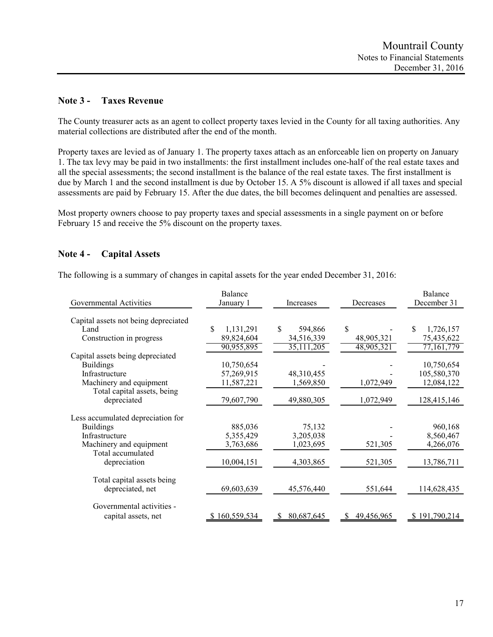# **Note 3 - Taxes Revenue**

The County treasurer acts as an agent to collect property taxes levied in the County for all taxing authorities. Any material collections are distributed after the end of the month.

Property taxes are levied as of January 1. The property taxes attach as an enforceable lien on property on January 1. The tax levy may be paid in two installments: the first installment includes one-half of the real estate taxes and all the special assessments; the second installment is the balance of the real estate taxes. The first installment is due by March 1 and the second installment is due by October 15. A 5% discount is allowed if all taxes and special assessments are paid by February 15. After the due dates, the bill becomes delinquent and penalties are assessed.

Most property owners choose to pay property taxes and special assessments in a single payment on or before February 15 and receive the 5% discount on the property taxes.

# **Note 4 - Capital Assets**

The following is a summary of changes in capital assets for the year ended December 31, 2016:

| Governmental Activities              | Balance<br>January 1 | <b>Increases</b> | Decreases       | Balance<br>December 31 |
|--------------------------------------|----------------------|------------------|-----------------|------------------------|
|                                      |                      |                  |                 |                        |
| Capital assets not being depreciated |                      |                  |                 |                        |
| Land                                 | \$<br>1,131,291      | \$<br>594,866    | \$              | 1,726,157<br>S         |
| Construction in progress             | 89,824,604           | 34,516,339       | 48,905,321      | 75,435,622             |
|                                      | 90,955,895           | 35, 111, 205     | 48,905,321      | 77,161,779             |
| Capital assets being depreciated     |                      |                  |                 |                        |
| <b>Buildings</b>                     | 10,750,654           |                  |                 | 10,750,654             |
| Infrastructure                       | 57,269,915           | 48,310,455       |                 | 105,580,370            |
| Machinery and equipment              | 11,587,221           | 1,569,850        | 1,072,949       | 12,084,122             |
| Total capital assets, being          |                      |                  |                 |                        |
| depreciated                          | 79,607,790           | 49,880,305       | 1,072,949       | 128,415,146            |
| Less accumulated depreciation for    |                      |                  |                 |                        |
| <b>Buildings</b>                     | 885,036              | 75,132           |                 | 960,168                |
| Infrastructure                       | 5,355,429            | 3,205,038        |                 | 8,560,467              |
| Machinery and equipment              | 3,763,686            | 1,023,695        | 521,305         | 4,266,076              |
| Total accumulated                    |                      |                  |                 |                        |
| depreciation                         | 10,004,151           | 4,303,865        | 521,305         | 13,786,711             |
| Total capital assets being           |                      |                  |                 |                        |
| depreciated, net                     | 69,603,639           | 45,576,440       | 551,644         | 114,628,435            |
| Governmental activities -            |                      |                  |                 |                        |
| capital assets, net                  | 160,559,534          | 80,687,645<br>-S | 49,456,965<br>S | \$191,790,214          |
|                                      |                      |                  |                 |                        |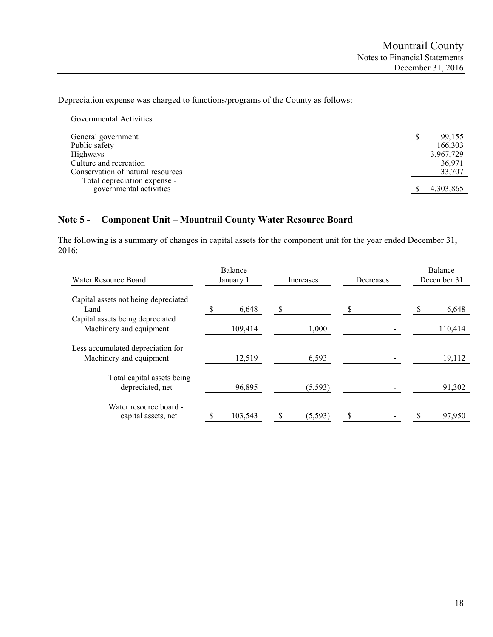Depreciation expense was charged to functions/programs of the County as follows:

| Governmental Activities                                     |                      |  |
|-------------------------------------------------------------|----------------------|--|
| General government                                          | 99,155               |  |
| Public safety<br>Highways                                   | 166,303<br>3,967,729 |  |
| Culture and recreation<br>Conservation of natural resources | 36,971<br>33,707     |  |
| Total depreciation expense -<br>governmental activities     | 4,303,865            |  |

# **Note 5 - Component Unit – Mountrail County Water Resource Board**

The following is a summary of changes in capital assets for the component unit for the year ended December 31, 2016:

| Water Resource Board                                         | Balance<br>January 1 |         | Increases |          | Decreases |  | Balance<br>December 31 |         |
|--------------------------------------------------------------|----------------------|---------|-----------|----------|-----------|--|------------------------|---------|
| Capital assets not being depreciated<br>Land                 | \$                   | 6,648   | S         |          | S         |  |                        | 6,648   |
| Capital assets being depreciated<br>Machinery and equipment  |                      | 109,414 |           | 1,000    |           |  |                        | 110,414 |
| Less accumulated depreciation for<br>Machinery and equipment |                      | 12,519  |           | 6,593    |           |  |                        | 19,112  |
| Total capital assets being<br>depreciated, net               |                      | 96,895  |           | (5,593)  |           |  |                        | 91,302  |
| Water resource board -<br>capital assets, net                |                      | 103,543 |           | (5, 593) | \$        |  |                        | 97,950  |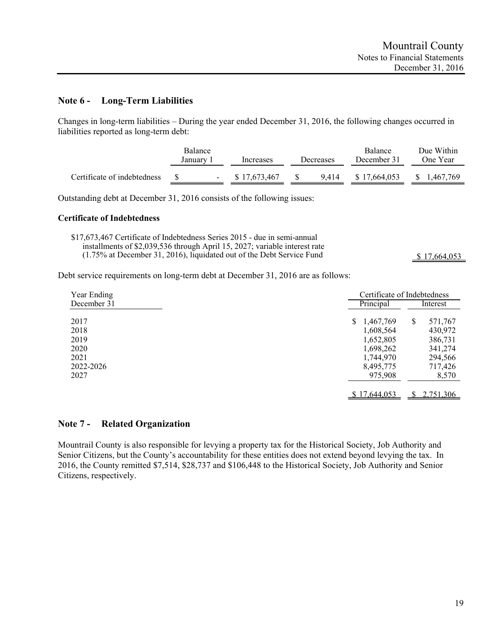# **Note 6 - Long-Term Liabilities**

Changes in long-term liabilities – During the year ended December 31, 2016, the following changes occurred in liabilities reported as long-term debt:

|                             | Balance<br>Januarv | Increases    | Decreases | <b>Balance</b><br>December 31 | Due Within<br>One Year |
|-----------------------------|--------------------|--------------|-----------|-------------------------------|------------------------|
| Certificate of indebtedness | $\sim$             | \$17,673,467 | 9.414     | \$17,664,053                  | 1.467.769              |

Outstanding debt at December 31, 2016 consists of the following issues:

#### **Certificate of Indebtedness**

\$17,673,467 Certificate of Indebtedness Series 2015 - due in semi-annual installments of \$2,039,536 through April 15, 2027; variable interest rate (1.75% at December 31, 2016), liquidated out of the Debt Service Fund \$ 17,664,053

Debt service requirements on long-term debt at December 31, 2016 are as follows:

| Year Ending                                       |                                                                                  | Certificate of Indebtedness |                                                                |  |
|---------------------------------------------------|----------------------------------------------------------------------------------|-----------------------------|----------------------------------------------------------------|--|
| December 31                                       | Principal                                                                        |                             | Interest                                                       |  |
| 2017<br>2018<br>2019<br>2020<br>2021<br>2022-2026 | \$<br>1,467,769<br>1,608,564<br>1,652,805<br>1,698,262<br>1,744,970<br>8,495,775 | <sup>\$</sup>               | 571,767<br>430,972<br>386,731<br>341,274<br>294,566<br>717,426 |  |
| 2027                                              | 975,908                                                                          |                             | 8,570                                                          |  |
|                                                   | \$17,644,053                                                                     |                             | 2,751,306                                                      |  |

#### **Note 7 - Related Organization**

Mountrail County is also responsible for levying a property tax for the Historical Society, Job Authority and Senior Citizens, but the County's accountability for these entities does not extend beyond levying the tax. In 2016, the County remitted \$7,514, \$28,737 and \$106,448 to the Historical Society, Job Authority and Senior Citizens, respectively.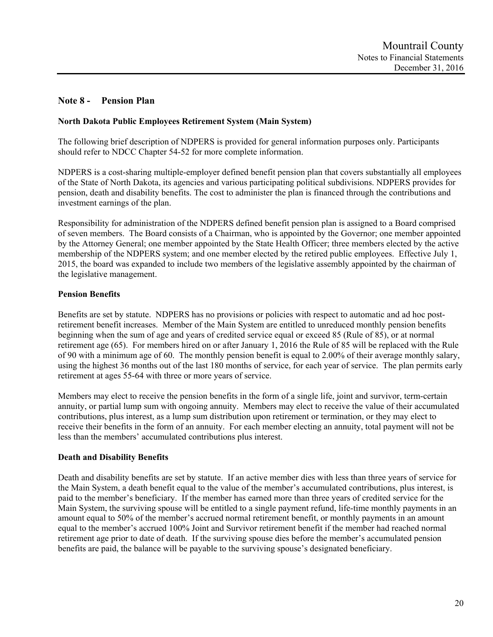# **Note 8 - Pension Plan**

# **North Dakota Public Employees Retirement System (Main System)**

The following brief description of NDPERS is provided for general information purposes only. Participants should refer to NDCC Chapter 54-52 for more complete information.

NDPERS is a cost-sharing multiple-employer defined benefit pension plan that covers substantially all employees of the State of North Dakota, its agencies and various participating political subdivisions. NDPERS provides for pension, death and disability benefits. The cost to administer the plan is financed through the contributions and investment earnings of the plan.

Responsibility for administration of the NDPERS defined benefit pension plan is assigned to a Board comprised of seven members. The Board consists of a Chairman, who is appointed by the Governor; one member appointed by the Attorney General; one member appointed by the State Health Officer; three members elected by the active membership of the NDPERS system; and one member elected by the retired public employees. Effective July 1, 2015, the board was expanded to include two members of the legislative assembly appointed by the chairman of the legislative management.

# **Pension Benefits**

Benefits are set by statute. NDPERS has no provisions or policies with respect to automatic and ad hoc postretirement benefit increases. Member of the Main System are entitled to unreduced monthly pension benefits beginning when the sum of age and years of credited service equal or exceed 85 (Rule of 85), or at normal retirement age (65). For members hired on or after January 1, 2016 the Rule of 85 will be replaced with the Rule of 90 with a minimum age of 60. The monthly pension benefit is equal to 2.00% of their average monthly salary, using the highest 36 months out of the last 180 months of service, for each year of service. The plan permits early retirement at ages 55-64 with three or more years of service.

Members may elect to receive the pension benefits in the form of a single life, joint and survivor, term-certain annuity, or partial lump sum with ongoing annuity. Members may elect to receive the value of their accumulated contributions, plus interest, as a lump sum distribution upon retirement or termination, or they may elect to receive their benefits in the form of an annuity. For each member electing an annuity, total payment will not be less than the members' accumulated contributions plus interest.

# **Death and Disability Benefits**

Death and disability benefits are set by statute. If an active member dies with less than three years of service for the Main System, a death benefit equal to the value of the member's accumulated contributions, plus interest, is paid to the member's beneficiary. If the member has earned more than three years of credited service for the Main System, the surviving spouse will be entitled to a single payment refund, life-time monthly payments in an amount equal to 50% of the member's accrued normal retirement benefit, or monthly payments in an amount equal to the member's accrued 100% Joint and Survivor retirement benefit if the member had reached normal retirement age prior to date of death. If the surviving spouse dies before the member's accumulated pension benefits are paid, the balance will be payable to the surviving spouse's designated beneficiary.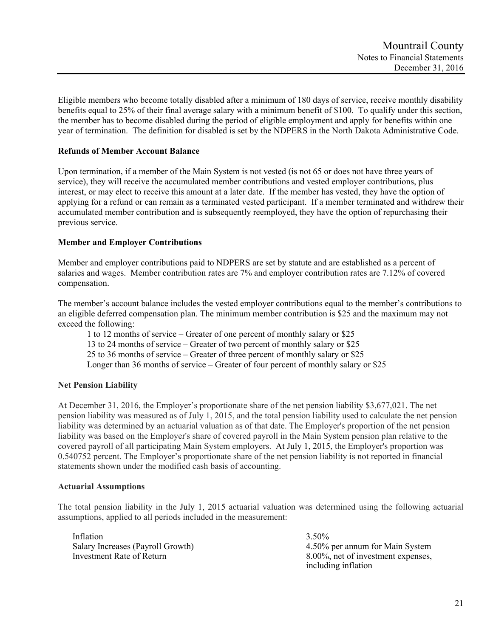Eligible members who become totally disabled after a minimum of 180 days of service, receive monthly disability benefits equal to 25% of their final average salary with a minimum benefit of \$100. To qualify under this section, the member has to become disabled during the period of eligible employment and apply for benefits within one year of termination. The definition for disabled is set by the NDPERS in the North Dakota Administrative Code.

# **Refunds of Member Account Balance**

Upon termination, if a member of the Main System is not vested (is not 65 or does not have three years of service), they will receive the accumulated member contributions and vested employer contributions, plus interest, or may elect to receive this amount at a later date. If the member has vested, they have the option of applying for a refund or can remain as a terminated vested participant. If a member terminated and withdrew their accumulated member contribution and is subsequently reemployed, they have the option of repurchasing their previous service.

# **Member and Employer Contributions**

Member and employer contributions paid to NDPERS are set by statute and are established as a percent of salaries and wages. Member contribution rates are 7% and employer contribution rates are 7.12% of covered compensation.

The member's account balance includes the vested employer contributions equal to the member's contributions to an eligible deferred compensation plan. The minimum member contribution is \$25 and the maximum may not exceed the following:

1 to 12 months of service – Greater of one percent of monthly salary or \$25

13 to 24 months of service – Greater of two percent of monthly salary or \$25

25 to 36 months of service – Greater of three percent of monthly salary or \$25

Longer than 36 months of service – Greater of four percent of monthly salary or \$25

# **Net Pension Liability**

At December 31, 2016, the Employer's proportionate share of the net pension liability \$3,677,021. The net pension liability was measured as of July 1, 2015, and the total pension liability used to calculate the net pension liability was determined by an actuarial valuation as of that date. The Employer's proportion of the net pension liability was based on the Employer's share of covered payroll in the Main System pension plan relative to the covered payroll of all participating Main System employers. At July 1, 2015, the Employer's proportion was 0.540752 percent. The Employer's proportionate share of the net pension liability is not reported in financial statements shown under the modified cash basis of accounting.

# **Actuarial Assumptions**

The total pension liability in the July 1, 2015 actuarial valuation was determined using the following actuarial assumptions, applied to all periods included in the measurement:

| Inflation                         | 3.50%                              |
|-----------------------------------|------------------------------------|
| Salary Increases (Payroll Growth) | 4.50% per annum for Main System    |
| Investment Rate of Return         | 8.00%, net of investment expenses, |
|                                   | including inflation                |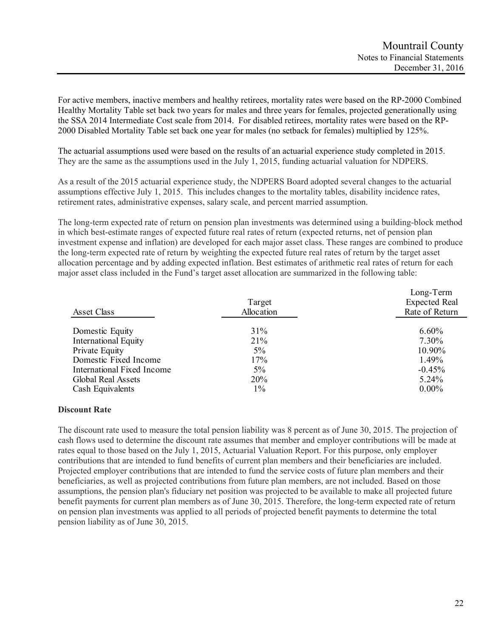For active members, inactive members and healthy retirees, mortality rates were based on the RP-2000 Combined Healthy Mortality Table set back two years for males and three years for females, projected generationally using the SSA 2014 Intermediate Cost scale from 2014. For disabled retirees, mortality rates were based on the RP-2000 Disabled Mortality Table set back one year for males (no setback for females) multiplied by 125%.

The actuarial assumptions used were based on the results of an actuarial experience study completed in 2015. They are the same as the assumptions used in the July 1, 2015, funding actuarial valuation for NDPERS.

As a result of the 2015 actuarial experience study, the NDPERS Board adopted several changes to the actuarial assumptions effective July 1, 2015. This includes changes to the mortality tables, disability incidence rates, retirement rates, administrative expenses, salary scale, and percent married assumption.

The long-term expected rate of return on pension plan investments was determined using a building-block method in which best-estimate ranges of expected future real rates of return (expected returns, net of pension plan investment expense and inflation) are developed for each major asset class. These ranges are combined to produce the long-term expected rate of return by weighting the expected future real rates of return by the target asset allocation percentage and by adding expected inflation. Best estimates of arithmetic real rates of return for each major asset class included in the Fund's target asset allocation are summarized in the following table:

| Asset Class                 | Target<br>Allocation | Long-Term<br><b>Expected Real</b><br>Rate of Return |
|-----------------------------|----------------------|-----------------------------------------------------|
| Domestic Equity             | 31%                  | 6.60%                                               |
| <b>International Equity</b> | 21%                  | 7.30%                                               |
| Private Equity              | $5\%$                | 10.90%                                              |
| Domestic Fixed Income       | 17%                  | 1.49%                                               |
| International Fixed Income  | $5\%$                | $-0.45%$                                            |
| Global Real Assets          | 20%                  | 5.24%                                               |
| Cash Equivalents            | $1\%$                | $0.00\%$                                            |

# **Discount Rate**

The discount rate used to measure the total pension liability was 8 percent as of June 30, 2015. The projection of cash flows used to determine the discount rate assumes that member and employer contributions will be made at rates equal to those based on the July 1, 2015, Actuarial Valuation Report. For this purpose, only employer contributions that are intended to fund benefits of current plan members and their beneficiaries are included. Projected employer contributions that are intended to fund the service costs of future plan members and their beneficiaries, as well as projected contributions from future plan members, are not included. Based on those assumptions, the pension plan's fiduciary net position was projected to be available to make all projected future benefit payments for current plan members as of June 30, 2015. Therefore, the long-term expected rate of return on pension plan investments was applied to all periods of projected benefit payments to determine the total pension liability as of June 30, 2015.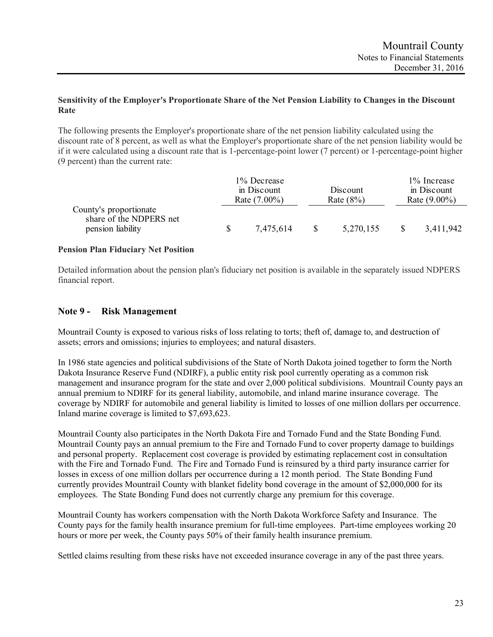# **Sensitivity of the Employer's Proportionate Share of the Net Pension Liability to Changes in the Discount Rate**

The following presents the Employer's proportionate share of the net pension liability calculated using the discount rate of 8 percent, as well as what the Employer's proportionate share of the net pension liability would be if it were calculated using a discount rate that is 1-percentage-point lower (7 percent) or 1-percentage-point higher (9 percent) than the current rate:

|                                                                        | 1% Decrease<br>in Discount<br>Rate $(7.00\%)$ |  | Discount<br>Rate $(8\%)$ |  | 1% Increase<br>in Discount<br>Rate $(9.00\%)$ |  |
|------------------------------------------------------------------------|-----------------------------------------------|--|--------------------------|--|-----------------------------------------------|--|
| County's proportionate<br>share of the NDPERS net<br>pension liability | 7,475,614                                     |  | 5,270,155                |  | 3,411,942                                     |  |

# **Pension Plan Fiduciary Net Position**

Detailed information about the pension plan's fiduciary net position is available in the separately issued NDPERS financial report.

# **Note 9 - Risk Management**

Mountrail County is exposed to various risks of loss relating to torts; theft of, damage to, and destruction of assets; errors and omissions; injuries to employees; and natural disasters.

In 1986 state agencies and political subdivisions of the State of North Dakota joined together to form the North Dakota Insurance Reserve Fund (NDIRF), a public entity risk pool currently operating as a common risk management and insurance program for the state and over 2,000 political subdivisions. Mountrail County pays an annual premium to NDIRF for its general liability, automobile, and inland marine insurance coverage. The coverage by NDIRF for automobile and general liability is limited to losses of one million dollars per occurrence. Inland marine coverage is limited to \$7,693,623.

Mountrail County also participates in the North Dakota Fire and Tornado Fund and the State Bonding Fund. Mountrail County pays an annual premium to the Fire and Tornado Fund to cover property damage to buildings and personal property. Replacement cost coverage is provided by estimating replacement cost in consultation with the Fire and Tornado Fund. The Fire and Tornado Fund is reinsured by a third party insurance carrier for losses in excess of one million dollars per occurrence during a 12 month period. The State Bonding Fund currently provides Mountrail County with blanket fidelity bond coverage in the amount of \$2,000,000 for its employees. The State Bonding Fund does not currently charge any premium for this coverage.

Mountrail County has workers compensation with the North Dakota Workforce Safety and Insurance. The County pays for the family health insurance premium for full-time employees. Part-time employees working 20 hours or more per week, the County pays 50% of their family health insurance premium.

Settled claims resulting from these risks have not exceeded insurance coverage in any of the past three years.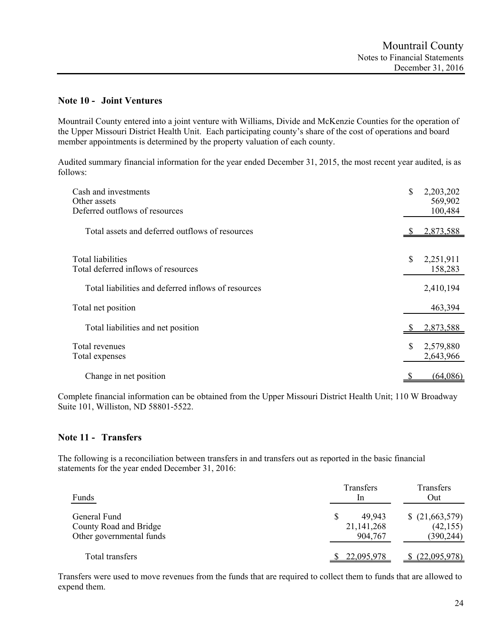# **Note 10 - Joint Ventures**

Mountrail County entered into a joint venture with Williams, Divide and McKenzie Counties for the operation of the Upper Missouri District Health Unit. Each participating county's share of the cost of operations and board member appointments is determined by the property valuation of each county.

Audited summary financial information for the year ended December 31, 2015, the most recent year audited, is as follows:

| Cash and investments<br>Other assets<br>Deferred outflows of resources | \$ | 2,203,202<br>569,902<br>100,484 |
|------------------------------------------------------------------------|----|---------------------------------|
| Total assets and deferred outflows of resources                        |    | 2,873,588                       |
|                                                                        |    |                                 |
| Total liabilities<br>Total deferred inflows of resources               | \$ | 2,251,911<br>158,283            |
| Total liabilities and deferred inflows of resources                    |    | 2,410,194                       |
| Total net position                                                     |    | 463,394                         |
| Total liabilities and net position                                     |    | 2,873,588                       |
| Total revenues                                                         | S  | 2,579,880                       |
| Total expenses                                                         |    | 2,643,966                       |
| Change in net position                                                 |    | (64,086)                        |

Complete financial information can be obtained from the Upper Missouri District Health Unit; 110 W Broadway Suite 101, Williston, ND 58801-5522.

# **Note 11 - Transfers**

The following is a reconciliation between transfers in and transfers out as reported in the basic financial statements for the year ended December 31, 2016:

| Funds                    | Transfers<br><b>In</b> | Transfers<br>Out |
|--------------------------|------------------------|------------------|
| General Fund             | S<br>49,943            | \$(21,663,579)   |
| County Road and Bridge   | 21, 141, 268           | (42, 155)        |
| Other governmental funds | 904,767                | (390, 244)       |
| Total transfers          | 22,095,978             | (22,095,978)     |

Transfers were used to move revenues from the funds that are required to collect them to funds that are allowed to expend them.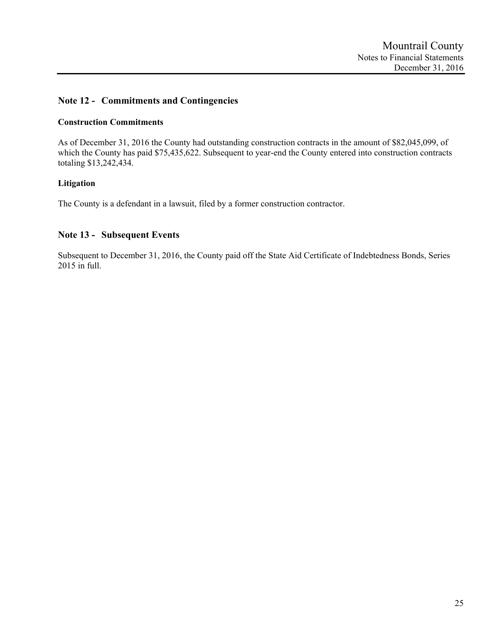# **Note 12 - Commitments and Contingencies**

#### **Construction Commitments**

As of December 31, 2016 the County had outstanding construction contracts in the amount of \$82,045,099, of which the County has paid \$75,435,622. Subsequent to year-end the County entered into construction contracts totaling \$13,242,434.

# **Litigation**

The County is a defendant in a lawsuit, filed by a former construction contractor.

# **Note 13 - Subsequent Events**

Subsequent to December 31, 2016, the County paid off the State Aid Certificate of Indebtedness Bonds, Series 2015 in full.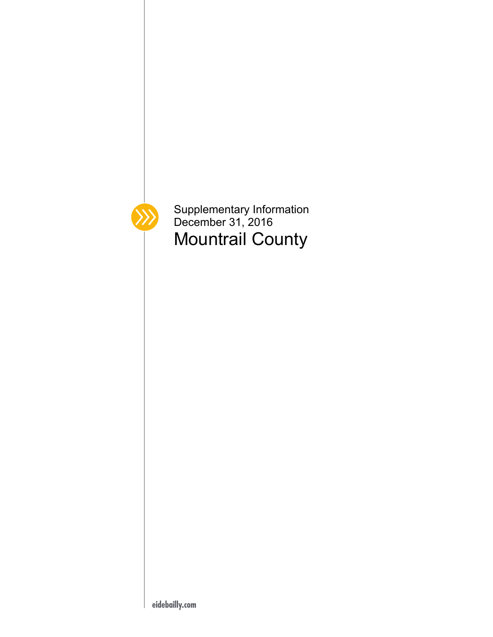

Supplementary Information December 31, 2016 Mountrail County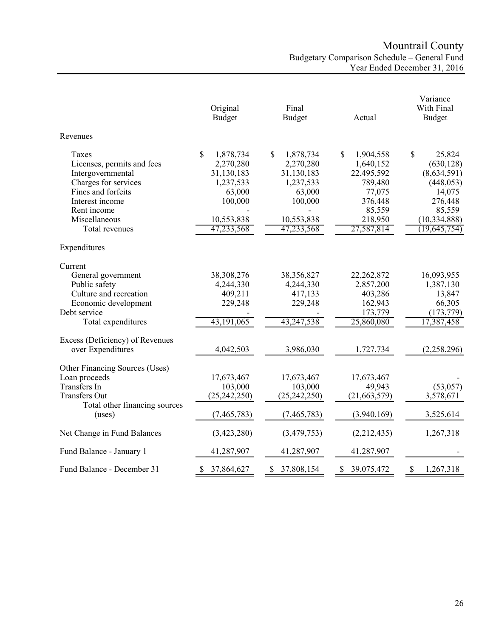# Mountrail County Budgetary Comparison Schedule – General Fund Year Ended December 31, 2016

|                                                                                                                                                                             | Original<br><b>Budget</b>                                                                                           | Final<br><b>Budget</b>                                                                                   | Actual                                                                                                        | Variance<br>With Final<br><b>Budget</b>                                                                                    |
|-----------------------------------------------------------------------------------------------------------------------------------------------------------------------------|---------------------------------------------------------------------------------------------------------------------|----------------------------------------------------------------------------------------------------------|---------------------------------------------------------------------------------------------------------------|----------------------------------------------------------------------------------------------------------------------------|
| Revenues                                                                                                                                                                    |                                                                                                                     |                                                                                                          |                                                                                                               |                                                                                                                            |
| Taxes<br>Licenses, permits and fees<br>Intergovernmental<br>Charges for services<br>Fines and forfeits<br>Interest income<br>Rent income<br>Miscellaneous<br>Total revenues | $\mathcal{S}$<br>1,878,734<br>2,270,280<br>31,130,183<br>1,237,533<br>63,000<br>100,000<br>10,553,838<br>47,233,568 | \$<br>1,878,734<br>2,270,280<br>31,130,183<br>1,237,533<br>63,000<br>100,000<br>10,553,838<br>47,233,568 | \$<br>1,904,558<br>1,640,152<br>22,495,592<br>789,480<br>77,075<br>376,448<br>85,559<br>218,950<br>27,587,814 | \$<br>25,824<br>(630, 128)<br>(8,634,591)<br>(448, 053)<br>14,075<br>276,448<br>85,559<br>(10, 334, 888)<br>(19, 645, 754) |
| Expenditures                                                                                                                                                                |                                                                                                                     |                                                                                                          |                                                                                                               |                                                                                                                            |
| Current<br>General government<br>Public safety<br>Culture and recreation<br>Economic development<br>Debt service<br>Total expenditures                                      | 38,308,276<br>4,244,330<br>409,211<br>229,248<br>43,191,065                                                         | 38,356,827<br>4,244,330<br>417,133<br>229,248<br>43,247,538                                              | 22, 262, 872<br>2,857,200<br>403,286<br>162,943<br>173,779<br>25,860,080                                      | 16,093,955<br>1,387,130<br>13,847<br>66,305<br>(173, 779)<br>17,387,458                                                    |
| Excess (Deficiency) of Revenues<br>over Expenditures                                                                                                                        | 4,042,503                                                                                                           | 3,986,030                                                                                                | 1,727,734                                                                                                     | (2, 258, 296)                                                                                                              |
| Other Financing Sources (Uses)<br>Loan proceeds<br>Transfers In<br><b>Transfers Out</b><br>Total other financing sources<br>(uses)                                          | 17,673,467<br>103,000<br>(25, 242, 250)<br>(7, 465, 783)                                                            | 17,673,467<br>103,000<br>(25, 242, 250)<br>(7, 465, 783)                                                 | 17,673,467<br>49,943<br>(21,663,579)<br>(3,940,169)                                                           | (53,057)<br>3,578,671<br>3,525,614                                                                                         |
| Net Change in Fund Balances                                                                                                                                                 | (3,423,280)                                                                                                         | (3,479,753)                                                                                              | (2,212,435)                                                                                                   | 1,267,318                                                                                                                  |
| Fund Balance - January 1                                                                                                                                                    | 41,287,907                                                                                                          | 41,287,907                                                                                               | 41,287,907                                                                                                    |                                                                                                                            |
| Fund Balance - December 31                                                                                                                                                  | 37,864,627<br>S                                                                                                     | 37,808,154<br>\$                                                                                         | \$<br>39,075,472                                                                                              | \$<br>1,267,318                                                                                                            |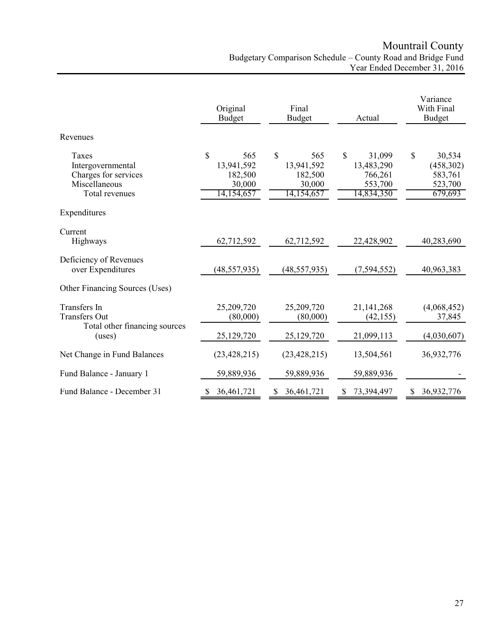Mountrail County Budgetary Comparison Schedule – County Road and Bridge Fund Year Ended December 31, 2016

|                                                                                       | Original<br>Budget                                           | Final<br><b>Budget</b>                                                 | Actual                                                                   | Variance<br>With Final<br><b>Budget</b>                               |
|---------------------------------------------------------------------------------------|--------------------------------------------------------------|------------------------------------------------------------------------|--------------------------------------------------------------------------|-----------------------------------------------------------------------|
| Revenues                                                                              |                                                              |                                                                        |                                                                          |                                                                       |
| Taxes<br>Intergovernmental<br>Charges for services<br>Miscellaneous<br>Total revenues | \$<br>565<br>13,941,592<br>182,500<br>30,000<br>14, 154, 657 | $\mathbb{S}$<br>565<br>13,941,592<br>182,500<br>30,000<br>14, 154, 657 | $\mathbb{S}$<br>31,099<br>13,483,290<br>766,261<br>553,700<br>14,834,350 | $\mathbb{S}$<br>30,534<br>(458, 302)<br>583,761<br>523,700<br>679,693 |
| Expenditures                                                                          |                                                              |                                                                        |                                                                          |                                                                       |
| Current<br>Highways                                                                   | 62,712,592                                                   | 62,712,592                                                             | 22,428,902                                                               | 40,283,690                                                            |
| Deficiency of Revenues<br>over Expenditures                                           | (48, 557, 935)                                               | (48, 557, 935)                                                         | (7, 594, 552)                                                            | 40,963,383                                                            |
| Other Financing Sources (Uses)                                                        |                                                              |                                                                        |                                                                          |                                                                       |
| Transfers In<br><b>Transfers Out</b>                                                  | 25,209,720<br>(80,000)                                       | 25,209,720<br>(80,000)                                                 | 21, 141, 268<br>(42, 155)                                                | (4,068,452)<br>37,845                                                 |
| Total other financing sources<br>(uses)                                               | 25,129,720                                                   | 25,129,720                                                             | 21,099,113                                                               | (4,030,607)                                                           |
| Net Change in Fund Balances                                                           | (23, 428, 215)                                               | (23, 428, 215)                                                         | 13,504,561                                                               | 36,932,776                                                            |
| Fund Balance - January 1                                                              | 59,889,936                                                   | 59,889,936                                                             | 59,889,936                                                               |                                                                       |
| Fund Balance - December 31                                                            | \$<br>36,461,721                                             | 36,461,721<br>\$                                                       | \$<br>73,394,497                                                         | \$<br>36,932,776                                                      |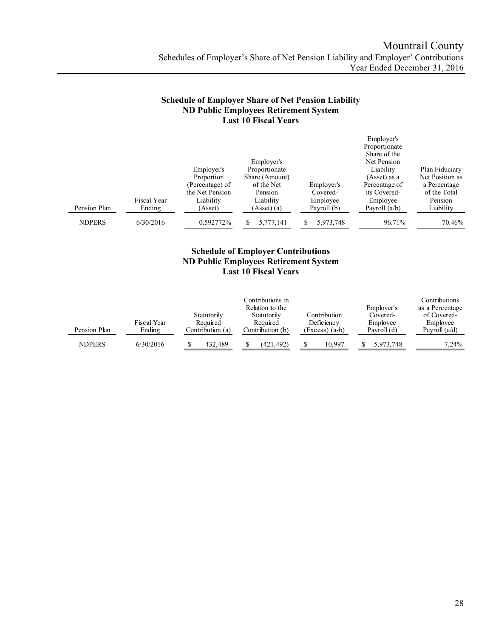Employer's

# **Schedule of Employer Share of Net Pension Liability ND Public Employees Retirement System Last 10 Fiscal Years**

|               |             |                 |                |             | Proportionate<br>Share of the |                 |
|---------------|-------------|-----------------|----------------|-------------|-------------------------------|-----------------|
|               |             |                 | Employer's     |             | Net Pension                   |                 |
|               |             | Employer's      | Proportionate  |             | Liability                     | Plan Fiduciary  |
|               |             | Proportion      | Share (Amount) |             | (Asset) as a                  | Net Position as |
|               |             | (Percentage) of | of the Net     | Employer's  | Percentage of                 | a Percentage    |
|               |             | the Net Pension | Pension        | Covered-    | its Covered-                  | of the Total    |
|               | Fiscal Year | Liability       | Liability      | Employee    | Employee                      | Pension         |
| Pension Plan  | Ending      | (Asset)         | (Asset) (a)    | Payroll (b) | Payroll (a/b)                 | Liability       |
| <b>NDPERS</b> | 6/30/2016   | 0.592772%       | 5,777,141      | 5,973,748   | 96.71%                        | 70.46%          |

# **Schedule of Employer Contributions ND Public Employees Retirement System Last 10 Fiscal Years**

|               |             |                  | Contributions in |                |                 | <b>Contributions</b> |
|---------------|-------------|------------------|------------------|----------------|-----------------|----------------------|
|               |             |                  | Relation to the  | Employer's     | as a Percentage |                      |
|               |             | Statutorily      | Statutorily      | Contribution   | Covered-        | of Covered-          |
|               | Fiscal Year | Required         | Required         | Deficiency     | Employee        | Employee             |
| Pension Plan  | Ending      | Contribution (a) | Contribution (b) | (Excess) (a-b) | Payroll (d)     | Payroll $(a/d)$      |
| <b>NDPERS</b> | 6/30/2016   | 432.489          | (421.492)        | 10.997         | 5.973.748       | $7.24\%$             |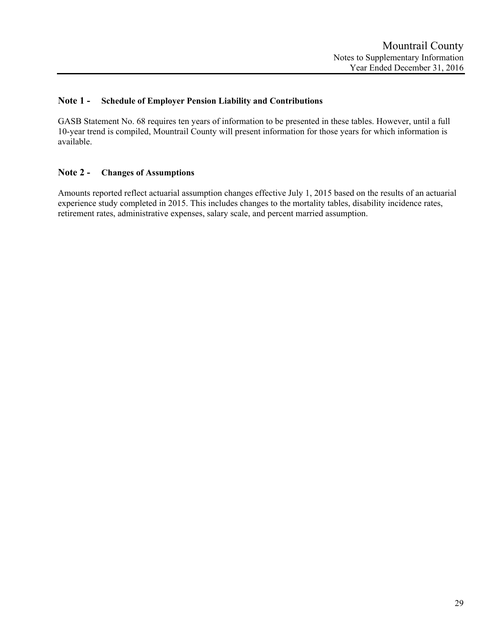# **Note 1 - Schedule of Employer Pension Liability and Contributions**

GASB Statement No. 68 requires ten years of information to be presented in these tables. However, until a full 10-year trend is compiled, Mountrail County will present information for those years for which information is available.

# **Note 2 - Changes of Assumptions**

Amounts reported reflect actuarial assumption changes effective July 1, 2015 based on the results of an actuarial experience study completed in 2015. This includes changes to the mortality tables, disability incidence rates, retirement rates, administrative expenses, salary scale, and percent married assumption.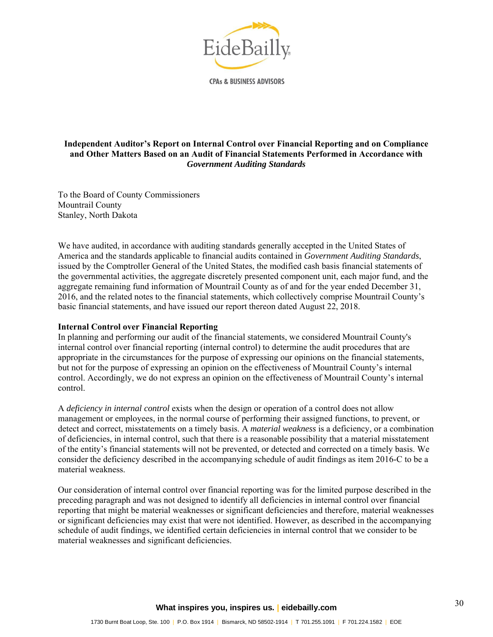

**CPAs & BUSINESS ADVISORS** 

# **Independent Auditor's Report on Internal Control over Financial Reporting and on Compliance and Other Matters Based on an Audit of Financial Statements Performed in Accordance with**  *Government Auditing Standards*

To the Board of County Commissioners Mountrail County Stanley, North Dakota

We have audited, in accordance with auditing standards generally accepted in the United States of America and the standards applicable to financial audits contained in *Government Auditing Standards*, issued by the Comptroller General of the United States, the modified cash basis financial statements of the governmental activities, the aggregate discretely presented component unit, each major fund, and the aggregate remaining fund information of Mountrail County as of and for the year ended December 31, 2016, and the related notes to the financial statements, which collectively comprise Mountrail County's basic financial statements, and have issued our report thereon dated August 22, 2018.

# **Internal Control over Financial Reporting**

In planning and performing our audit of the financial statements, we considered Mountrail County's internal control over financial reporting (internal control) to determine the audit procedures that are appropriate in the circumstances for the purpose of expressing our opinions on the financial statements, but not for the purpose of expressing an opinion on the effectiveness of Mountrail County's internal control. Accordingly, we do not express an opinion on the effectiveness of Mountrail County's internal control.

A *deficiency in internal control* exists when the design or operation of a control does not allow management or employees, in the normal course of performing their assigned functions, to prevent, or detect and correct, misstatements on a timely basis. A *material weakness* is a deficiency, or a combination of deficiencies, in internal control, such that there is a reasonable possibility that a material misstatement of the entity's financial statements will not be prevented, or detected and corrected on a timely basis. We consider the deficiency described in the accompanying schedule of audit findings as item 2016-C to be a material weakness.

Our consideration of internal control over financial reporting was for the limited purpose described in the preceding paragraph and was not designed to identify all deficiencies in internal control over financial reporting that might be material weaknesses or significant deficiencies and therefore, material weaknesses or significant deficiencies may exist that were not identified. However, as described in the accompanying schedule of audit findings, we identified certain deficiencies in internal control that we consider to be material weaknesses and significant deficiencies.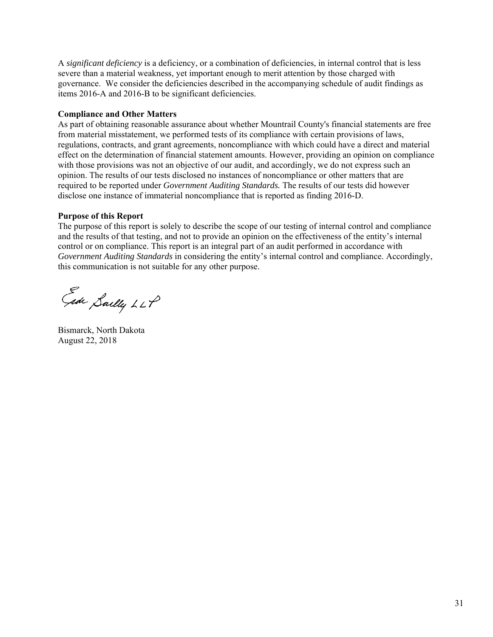A *significant deficiency* is a deficiency, or a combination of deficiencies, in internal control that is less severe than a material weakness, yet important enough to merit attention by those charged with governance. We consider the deficiencies described in the accompanying schedule of audit findings as items 2016-A and 2016-B to be significant deficiencies.

#### **Compliance and Other Matters**

As part of obtaining reasonable assurance about whether Mountrail County's financial statements are free from material misstatement, we performed tests of its compliance with certain provisions of laws, regulations, contracts, and grant agreements, noncompliance with which could have a direct and material effect on the determination of financial statement amounts. However, providing an opinion on compliance with those provisions was not an objective of our audit, and accordingly, we do not express such an opinion. The results of our tests disclosed no instances of noncompliance or other matters that are required to be reported under *Government Auditing Standards.* The results of our tests did however disclose one instance of immaterial noncompliance that is reported as finding 2016-D.

#### **Purpose of this Report**

The purpose of this report is solely to describe the scope of our testing of internal control and compliance and the results of that testing, and not to provide an opinion on the effectiveness of the entity's internal control or on compliance. This report is an integral part of an audit performed in accordance with *Government Auditing Standards* in considering the entity's internal control and compliance. Accordingly, this communication is not suitable for any other purpose.

Ede Saelly LLP

Bismarck, North Dakota August 22, 2018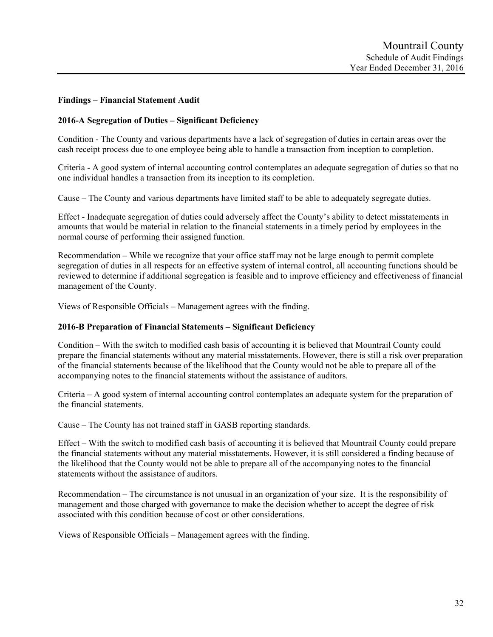# **Findings – Financial Statement Audit**

# **2016-A Segregation of Duties – Significant Deficiency**

Condition - The County and various departments have a lack of segregation of duties in certain areas over the cash receipt process due to one employee being able to handle a transaction from inception to completion.

Criteria - A good system of internal accounting control contemplates an adequate segregation of duties so that no one individual handles a transaction from its inception to its completion.

Cause – The County and various departments have limited staff to be able to adequately segregate duties.

Effect - Inadequate segregation of duties could adversely affect the County's ability to detect misstatements in amounts that would be material in relation to the financial statements in a timely period by employees in the normal course of performing their assigned function.

Recommendation – While we recognize that your office staff may not be large enough to permit complete segregation of duties in all respects for an effective system of internal control, all accounting functions should be reviewed to determine if additional segregation is feasible and to improve efficiency and effectiveness of financial management of the County.

Views of Responsible Officials – Management agrees with the finding.

# **2016-B Preparation of Financial Statements – Significant Deficiency**

Condition – With the switch to modified cash basis of accounting it is believed that Mountrail County could prepare the financial statements without any material misstatements. However, there is still a risk over preparation of the financial statements because of the likelihood that the County would not be able to prepare all of the accompanying notes to the financial statements without the assistance of auditors.

Criteria – A good system of internal accounting control contemplates an adequate system for the preparation of the financial statements.

Cause – The County has not trained staff in GASB reporting standards.

Effect – With the switch to modified cash basis of accounting it is believed that Mountrail County could prepare the financial statements without any material misstatements. However, it is still considered a finding because of the likelihood that the County would not be able to prepare all of the accompanying notes to the financial statements without the assistance of auditors.

Recommendation – The circumstance is not unusual in an organization of your size. It is the responsibility of management and those charged with governance to make the decision whether to accept the degree of risk associated with this condition because of cost or other considerations.

Views of Responsible Officials – Management agrees with the finding.